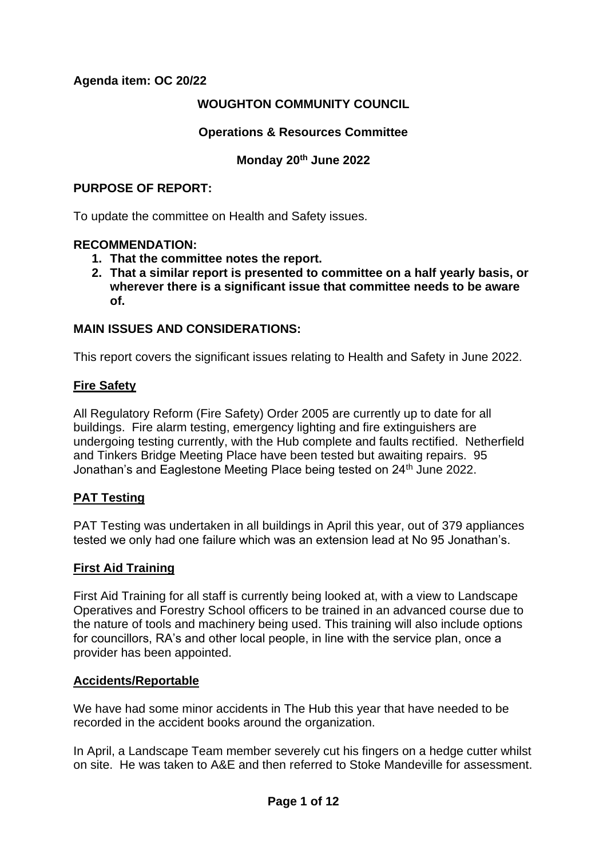# **Agenda item: OC 20/22**

## **WOUGHTON COMMUNITY COUNCIL**

## **Operations & Resources Committee**

## **Monday 20th June 2022**

#### **PURPOSE OF REPORT:**

To update the committee on Health and Safety issues.

#### **RECOMMENDATION:**

- **1. That the committee notes the report.**
- **2. That a similar report is presented to committee on a half yearly basis, or wherever there is a significant issue that committee needs to be aware of.**

## **MAIN ISSUES AND CONSIDERATIONS:**

This report covers the significant issues relating to Health and Safety in June 2022.

## **Fire Safety**

All Regulatory Reform (Fire Safety) Order 2005 are currently up to date for all buildings. Fire alarm testing, emergency lighting and fire extinguishers are undergoing testing currently, with the Hub complete and faults rectified. Netherfield and Tinkers Bridge Meeting Place have been tested but awaiting repairs. 95 Jonathan's and Eaglestone Meeting Place being tested on 24<sup>th</sup> June 2022.

## **PAT Testing**

PAT Testing was undertaken in all buildings in April this year, out of 379 appliances tested we only had one failure which was an extension lead at No 95 Jonathan's.

## **First Aid Training**

First Aid Training for all staff is currently being looked at, with a view to Landscape Operatives and Forestry School officers to be trained in an advanced course due to the nature of tools and machinery being used. This training will also include options for councillors, RA's and other local people, in line with the service plan, once a provider has been appointed.

#### **Accidents/Reportable**

We have had some minor accidents in The Hub this year that have needed to be recorded in the accident books around the organization.

In April, a Landscape Team member severely cut his fingers on a hedge cutter whilst on site. He was taken to A&E and then referred to Stoke Mandeville for assessment.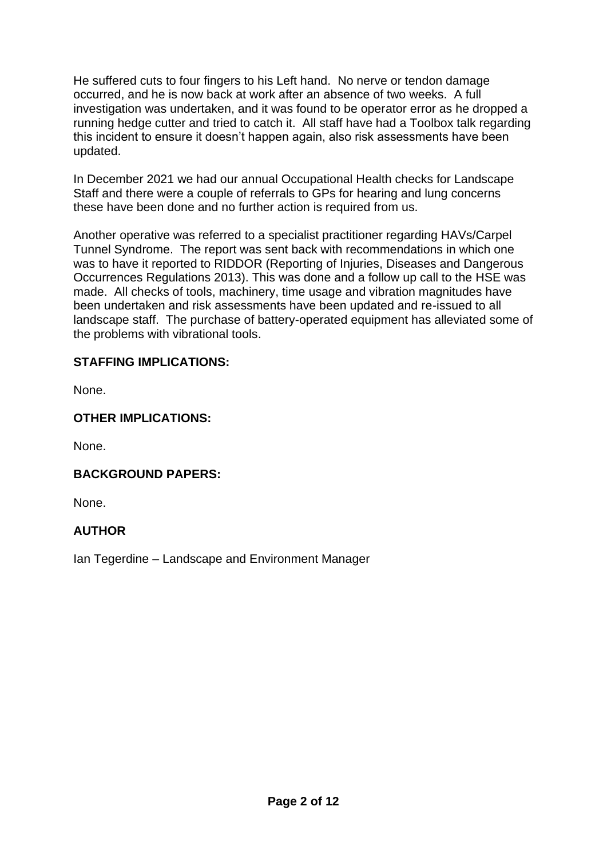He suffered cuts to four fingers to his Left hand. No nerve or tendon damage occurred, and he is now back at work after an absence of two weeks. A full investigation was undertaken, and it was found to be operator error as he dropped a running hedge cutter and tried to catch it. All staff have had a Toolbox talk regarding this incident to ensure it doesn't happen again, also risk assessments have been updated.

In December 2021 we had our annual Occupational Health checks for Landscape Staff and there were a couple of referrals to GPs for hearing and lung concerns these have been done and no further action is required from us.

Another operative was referred to a specialist practitioner regarding HAVs/Carpel Tunnel Syndrome. The report was sent back with recommendations in which one was to have it reported to RIDDOR (Reporting of Injuries, Diseases and Dangerous Occurrences Regulations 2013). This was done and a follow up call to the HSE was made. All checks of tools, machinery, time usage and vibration magnitudes have been undertaken and risk assessments have been updated and re-issued to all landscape staff. The purchase of battery-operated equipment has alleviated some of the problems with vibrational tools.

# **STAFFING IMPLICATIONS:**

None.

# **OTHER IMPLICATIONS:**

None.

# **BACKGROUND PAPERS:**

None.

# **AUTHOR**

Ian Tegerdine – Landscape and Environment Manager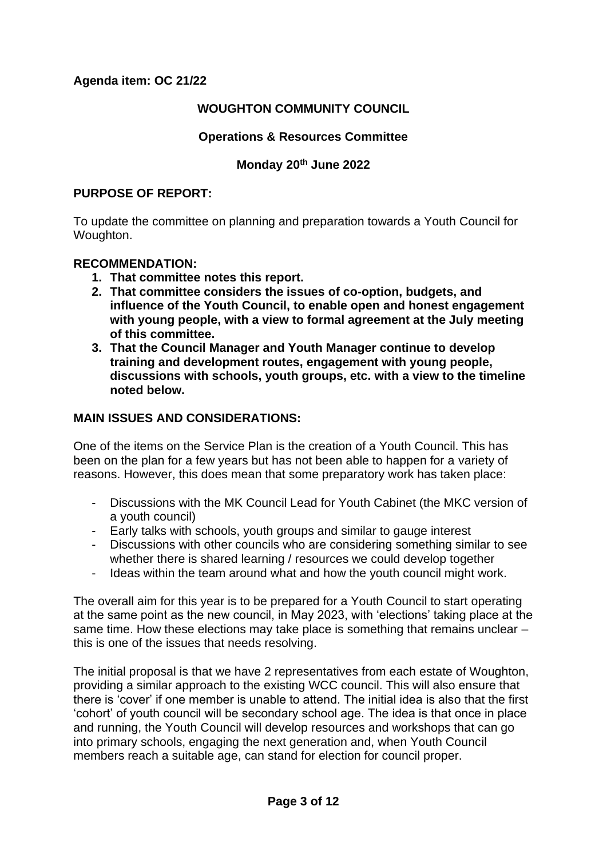## **WOUGHTON COMMUNITY COUNCIL**

## **Operations & Resources Committee**

## **Monday 20th June 2022**

#### **PURPOSE OF REPORT:**

To update the committee on planning and preparation towards a Youth Council for Woughton.

## **RECOMMENDATION:**

- **1. That committee notes this report.**
- **2. That committee considers the issues of co-option, budgets, and influence of the Youth Council, to enable open and honest engagement with young people, with a view to formal agreement at the July meeting of this committee.**
- **3. That the Council Manager and Youth Manager continue to develop training and development routes, engagement with young people, discussions with schools, youth groups, etc. with a view to the timeline noted below.**

#### **MAIN ISSUES AND CONSIDERATIONS:**

One of the items on the Service Plan is the creation of a Youth Council. This has been on the plan for a few years but has not been able to happen for a variety of reasons. However, this does mean that some preparatory work has taken place:

- Discussions with the MK Council Lead for Youth Cabinet (the MKC version of a youth council)
- Early talks with schools, youth groups and similar to gauge interest
- Discussions with other councils who are considering something similar to see whether there is shared learning / resources we could develop together
- Ideas within the team around what and how the youth council might work.

The overall aim for this year is to be prepared for a Youth Council to start operating at the same point as the new council, in May 2023, with 'elections' taking place at the same time. How these elections may take place is something that remains unclear – this is one of the issues that needs resolving.

The initial proposal is that we have 2 representatives from each estate of Woughton, providing a similar approach to the existing WCC council. This will also ensure that there is 'cover' if one member is unable to attend. The initial idea is also that the first 'cohort' of youth council will be secondary school age. The idea is that once in place and running, the Youth Council will develop resources and workshops that can go into primary schools, engaging the next generation and, when Youth Council members reach a suitable age, can stand for election for council proper.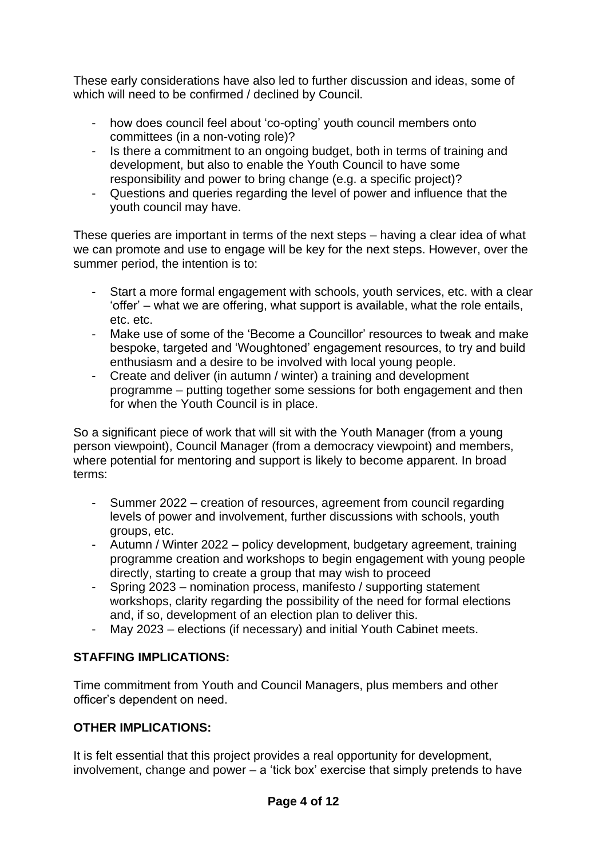These early considerations have also led to further discussion and ideas, some of which will need to be confirmed / declined by Council.

- how does council feel about 'co-opting' youth council members onto committees (in a non-voting role)?
- Is there a commitment to an ongoing budget, both in terms of training and development, but also to enable the Youth Council to have some responsibility and power to bring change (e.g. a specific project)?
- Questions and queries regarding the level of power and influence that the youth council may have.

These queries are important in terms of the next steps – having a clear idea of what we can promote and use to engage will be key for the next steps. However, over the summer period, the intention is to:

- Start a more formal engagement with schools, youth services, etc. with a clear 'offer' – what we are offering, what support is available, what the role entails, etc. etc.
- Make use of some of the 'Become a Councillor' resources to tweak and make bespoke, targeted and 'Woughtoned' engagement resources, to try and build enthusiasm and a desire to be involved with local young people.
- Create and deliver (in autumn / winter) a training and development programme – putting together some sessions for both engagement and then for when the Youth Council is in place.

So a significant piece of work that will sit with the Youth Manager (from a young person viewpoint), Council Manager (from a democracy viewpoint) and members, where potential for mentoring and support is likely to become apparent. In broad terms:

- Summer 2022 creation of resources, agreement from council regarding levels of power and involvement, further discussions with schools, youth groups, etc.
- Autumn / Winter 2022 policy development, budgetary agreement, training programme creation and workshops to begin engagement with young people directly, starting to create a group that may wish to proceed
- Spring 2023 nomination process, manifesto / supporting statement workshops, clarity regarding the possibility of the need for formal elections and, if so, development of an election plan to deliver this.
- May 2023 elections (if necessary) and initial Youth Cabinet meets.

# **STAFFING IMPLICATIONS:**

Time commitment from Youth and Council Managers, plus members and other officer's dependent on need.

# **OTHER IMPLICATIONS:**

It is felt essential that this project provides a real opportunity for development, involvement, change and power – a 'tick box' exercise that simply pretends to have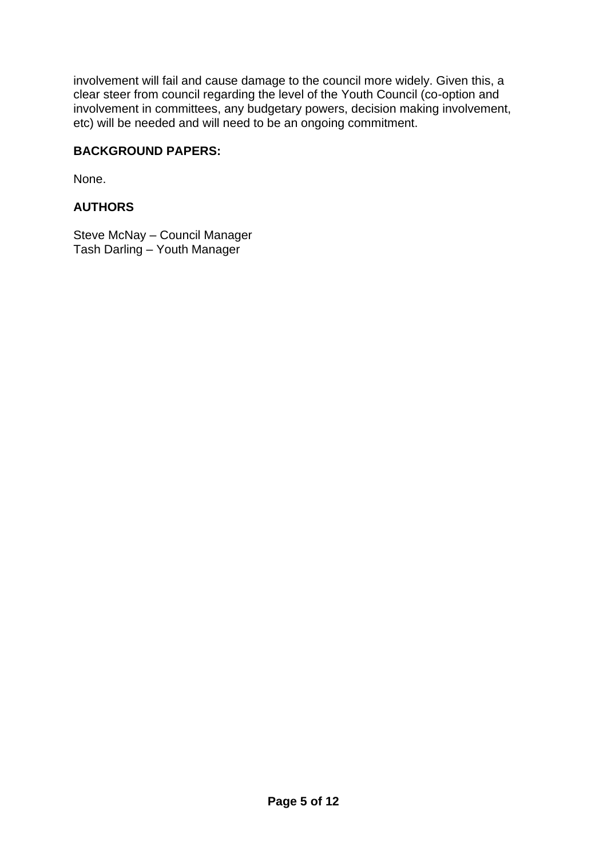involvement will fail and cause damage to the council more widely. Given this, a clear steer from council regarding the level of the Youth Council (co-option and involvement in committees, any budgetary powers, decision making involvement, etc) will be needed and will need to be an ongoing commitment.

## **BACKGROUND PAPERS:**

None.

# **AUTHORS**

Steve McNay – Council Manager Tash Darling – Youth Manager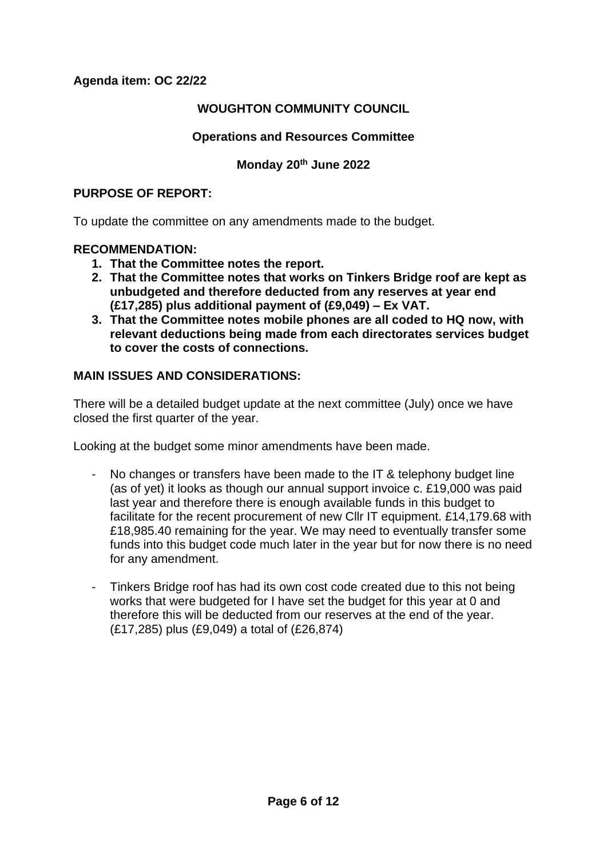**Agenda item: OC 22/22**

## **WOUGHTON COMMUNITY COUNCIL**

## **Operations and Resources Committee**

## **Monday 20th June 2022**

#### **PURPOSE OF REPORT:**

To update the committee on any amendments made to the budget.

#### **RECOMMENDATION:**

- **1. That the Committee notes the report.**
- **2. That the Committee notes that works on Tinkers Bridge roof are kept as unbudgeted and therefore deducted from any reserves at year end (£17,285) plus additional payment of (£9,049) – Ex VAT.**
- **3. That the Committee notes mobile phones are all coded to HQ now, with relevant deductions being made from each directorates services budget to cover the costs of connections.**

## **MAIN ISSUES AND CONSIDERATIONS:**

There will be a detailed budget update at the next committee (July) once we have closed the first quarter of the year.

Looking at the budget some minor amendments have been made.

- No changes or transfers have been made to the IT & telephony budget line (as of yet) it looks as though our annual support invoice c. £19,000 was paid last year and therefore there is enough available funds in this budget to facilitate for the recent procurement of new Cllr IT equipment. £14,179.68 with £18,985.40 remaining for the year. We may need to eventually transfer some funds into this budget code much later in the year but for now there is no need for any amendment.
- Tinkers Bridge roof has had its own cost code created due to this not being works that were budgeted for I have set the budget for this year at 0 and therefore this will be deducted from our reserves at the end of the year. (£17,285) plus (£9,049) a total of (£26,874)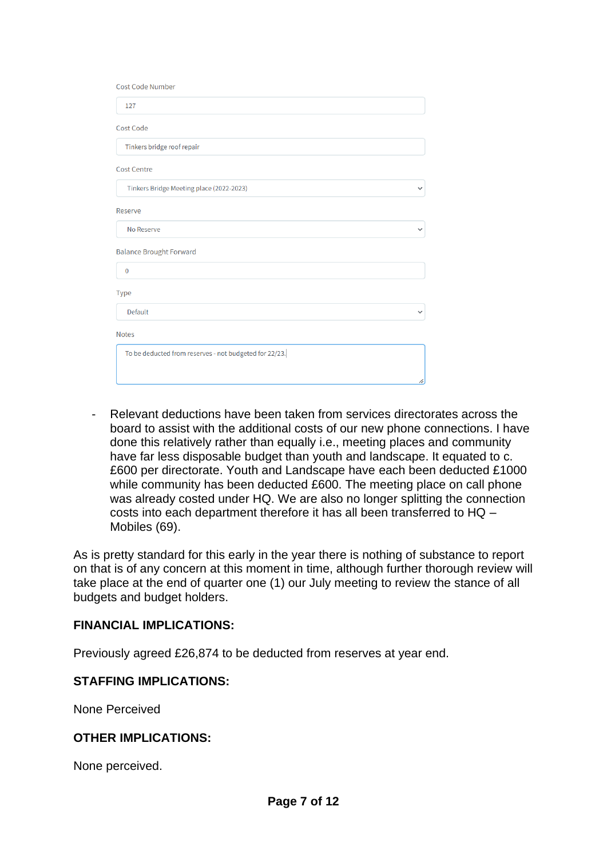| <b>Cost Code Number</b>                                |              |
|--------------------------------------------------------|--------------|
| 127                                                    |              |
| <b>Cost Code</b>                                       |              |
| Tinkers bridge roof repair                             |              |
| <b>Cost Centre</b>                                     |              |
| Tinkers Bridge Meeting place (2022-2023)               | $\checkmark$ |
| Reserve                                                |              |
| No Reserve                                             |              |
| <b>Balance Brought Forward</b>                         |              |
| $\bf{0}$                                               |              |
| Type                                                   |              |
| <b>Default</b>                                         |              |
| <b>Notes</b>                                           |              |
| To be deducted from reserves - not budgeted for 22/23. |              |
|                                                        |              |

- Relevant deductions have been taken from services directorates across the board to assist with the additional costs of our new phone connections. I have done this relatively rather than equally i.e., meeting places and community have far less disposable budget than youth and landscape. It equated to c. £600 per directorate. Youth and Landscape have each been deducted £1000 while community has been deducted £600. The meeting place on call phone was already costed under HQ. We are also no longer splitting the connection costs into each department therefore it has all been transferred to HQ – Mobiles (69).

As is pretty standard for this early in the year there is nothing of substance to report on that is of any concern at this moment in time, although further thorough review will take place at the end of quarter one (1) our July meeting to review the stance of all budgets and budget holders.

## **FINANCIAL IMPLICATIONS:**

Previously agreed £26,874 to be deducted from reserves at year end.

#### **STAFFING IMPLICATIONS:**

None Perceived

#### **OTHER IMPLICATIONS:**

None perceived.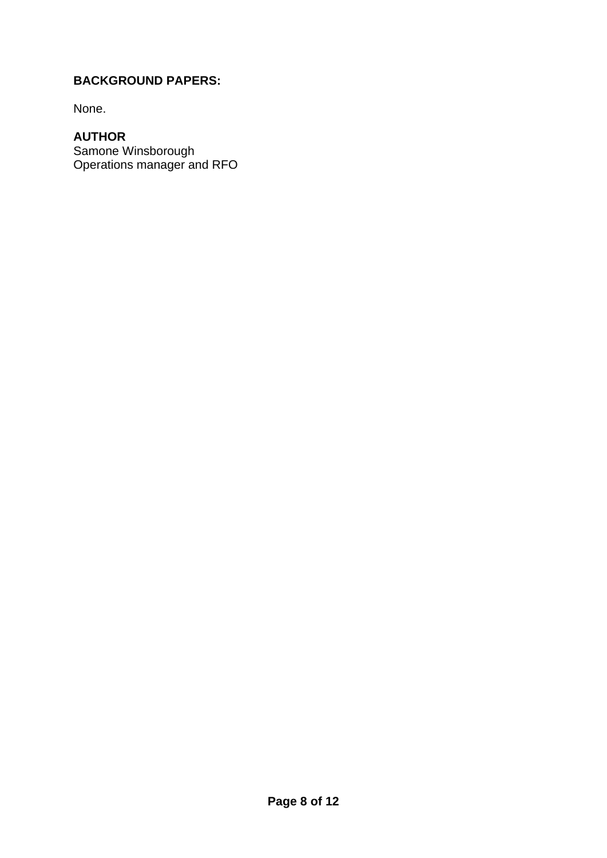# **BACKGROUND PAPERS:**

None.

# **AUTHOR**

Samone Winsborough Operations manager and RFO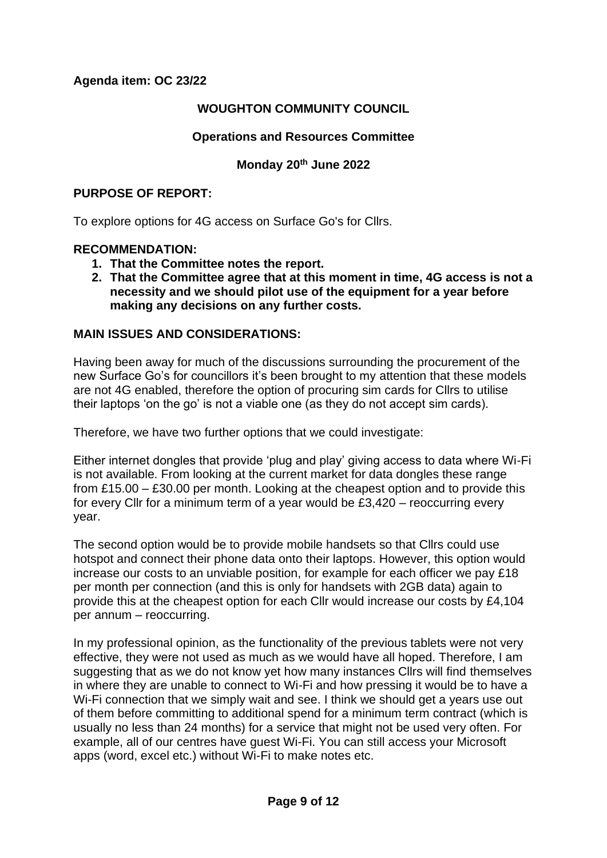**Agenda item: OC 23/22**

## **WOUGHTON COMMUNITY COUNCIL**

## **Operations and Resources Committee**

## **Monday 20th June 2022**

#### **PURPOSE OF REPORT:**

To explore options for 4G access on Surface Go's for Cllrs.

#### **RECOMMENDATION:**

- **1. That the Committee notes the report.**
- **2. That the Committee agree that at this moment in time, 4G access is not a necessity and we should pilot use of the equipment for a year before making any decisions on any further costs.**

## **MAIN ISSUES AND CONSIDERATIONS:**

Having been away for much of the discussions surrounding the procurement of the new Surface Go's for councillors it's been brought to my attention that these models are not 4G enabled, therefore the option of procuring sim cards for Cllrs to utilise their laptops 'on the go' is not a viable one (as they do not accept sim cards).

Therefore, we have two further options that we could investigate:

Either internet dongles that provide 'plug and play' giving access to data where Wi-Fi is not available. From looking at the current market for data dongles these range from £15.00 – £30.00 per month. Looking at the cheapest option and to provide this for every Cllr for a minimum term of a year would be £3,420 – reoccurring every year.

The second option would be to provide mobile handsets so that Cllrs could use hotspot and connect their phone data onto their laptops. However, this option would increase our costs to an unviable position, for example for each officer we pay £18 per month per connection (and this is only for handsets with 2GB data) again to provide this at the cheapest option for each Cllr would increase our costs by £4,104 per annum – reoccurring.

In my professional opinion, as the functionality of the previous tablets were not very effective, they were not used as much as we would have all hoped. Therefore, I am suggesting that as we do not know yet how many instances Cllrs will find themselves in where they are unable to connect to Wi-Fi and how pressing it would be to have a Wi-Fi connection that we simply wait and see. I think we should get a years use out of them before committing to additional spend for a minimum term contract (which is usually no less than 24 months) for a service that might not be used very often. For example, all of our centres have guest Wi-Fi. You can still access your Microsoft apps (word, excel etc.) without Wi-Fi to make notes etc.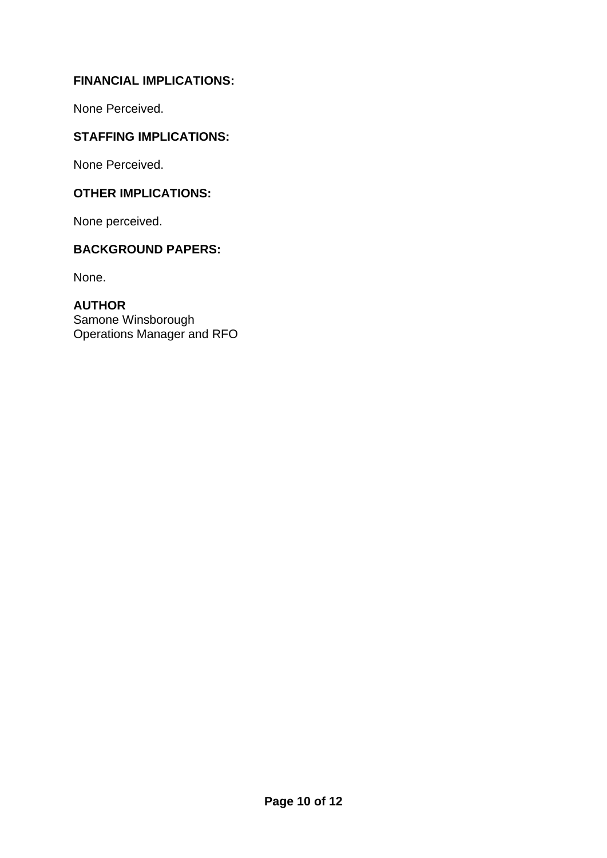# **FINANCIAL IMPLICATIONS:**

None Perceived.

# **STAFFING IMPLICATIONS:**

None Perceived.

## **OTHER IMPLICATIONS:**

None perceived.

# **BACKGROUND PAPERS:**

None.

**AUTHOR** Samone Winsborough Operations Manager and RFO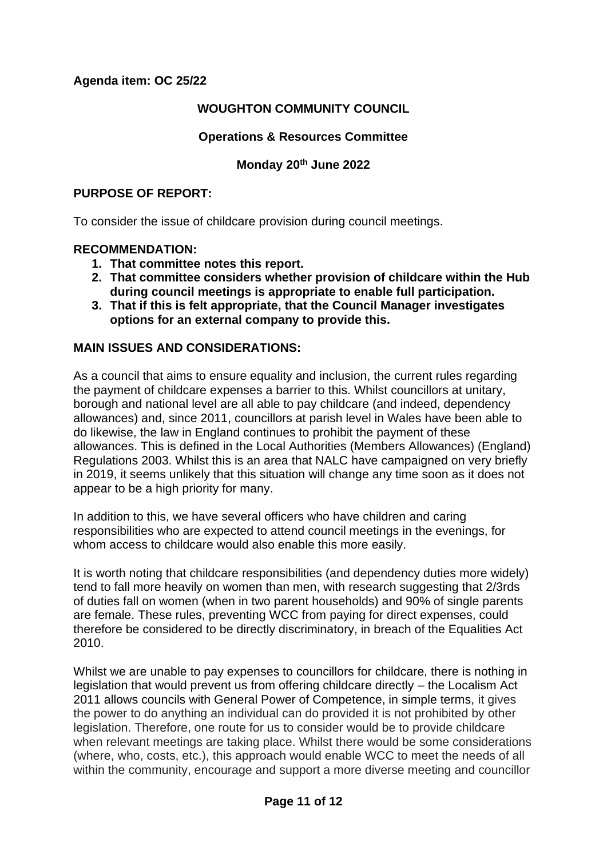## **Agenda item: OC 25/22**

## **WOUGHTON COMMUNITY COUNCIL**

## **Operations & Resources Committee**

# **Monday 20th June 2022**

#### **PURPOSE OF REPORT:**

To consider the issue of childcare provision during council meetings.

#### **RECOMMENDATION:**

- **1. That committee notes this report.**
- **2. That committee considers whether provision of childcare within the Hub during council meetings is appropriate to enable full participation.**
- **3. That if this is felt appropriate, that the Council Manager investigates options for an external company to provide this.**

## **MAIN ISSUES AND CONSIDERATIONS:**

As a council that aims to ensure equality and inclusion, the current rules regarding the payment of childcare expenses a barrier to this. Whilst councillors at unitary, borough and national level are all able to pay childcare (and indeed, dependency allowances) and, since 2011, councillors at parish level in Wales have been able to do likewise, the law in England continues to prohibit the payment of these allowances. This is defined in the Local Authorities (Members Allowances) (England) Regulations 2003. Whilst this is an area that NALC have campaigned on very briefly in 2019, it seems unlikely that this situation will change any time soon as it does not appear to be a high priority for many.

In addition to this, we have several officers who have children and caring responsibilities who are expected to attend council meetings in the evenings, for whom access to childcare would also enable this more easily.

It is worth noting that childcare responsibilities (and dependency duties more widely) tend to fall more heavily on women than men, with research suggesting that 2/3rds of duties fall on women (when in two parent households) and 90% of single parents are female. These rules, preventing WCC from paying for direct expenses, could therefore be considered to be directly discriminatory, in breach of the Equalities Act 2010.

Whilst we are unable to pay expenses to councillors for childcare, there is nothing in legislation that would prevent us from offering childcare directly – the Localism Act 2011 allows councils with General Power of Competence, in simple terms, it gives the power to do anything an individual can do provided it is not prohibited by other legislation. Therefore, one route for us to consider would be to provide childcare when relevant meetings are taking place. Whilst there would be some considerations (where, who, costs, etc.), this approach would enable WCC to meet the needs of all within the community, encourage and support a more diverse meeting and councillor